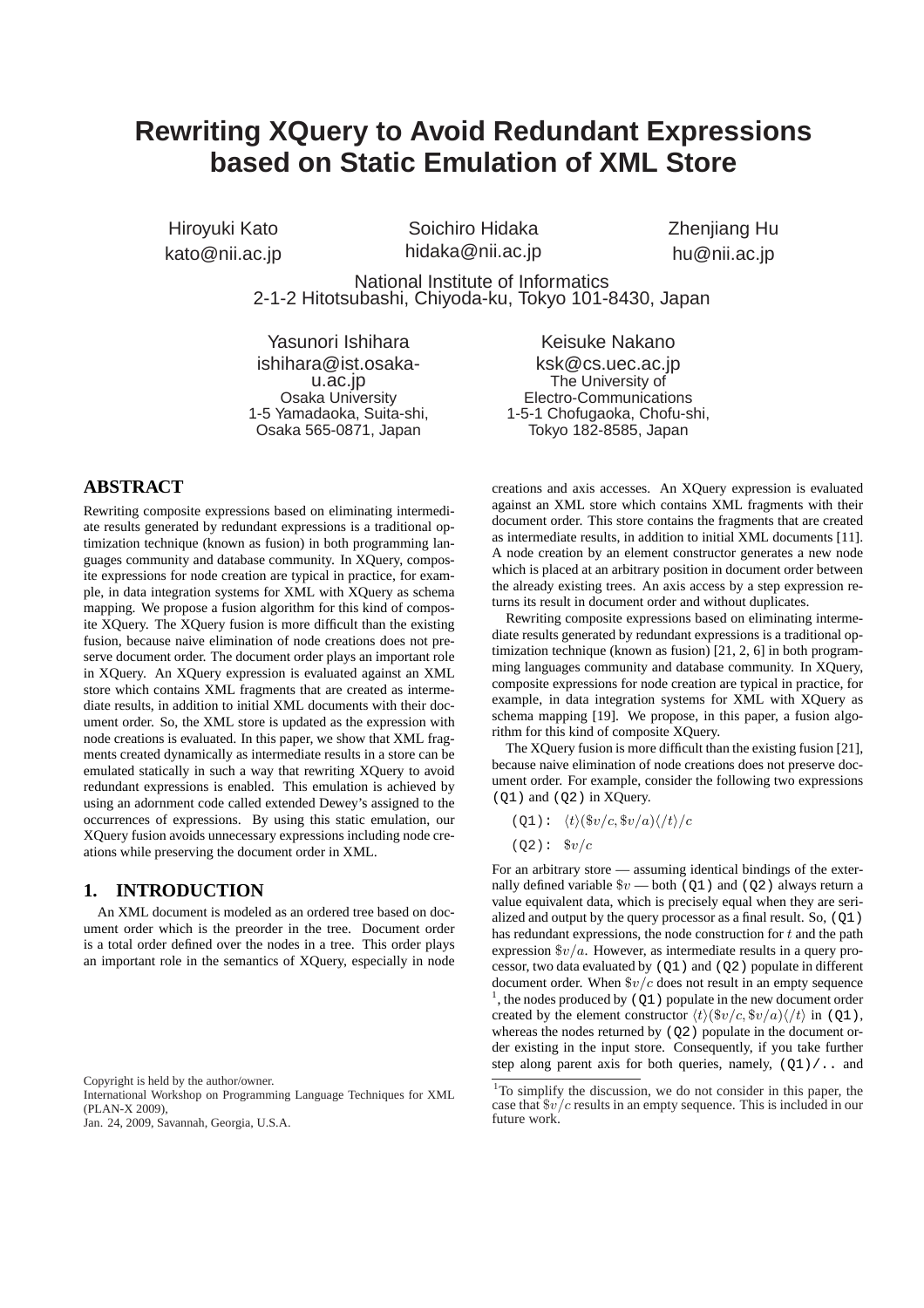# **Rewriting XQuery to Avoid Redundant Expressions based on Static Emulation of XML Store**

Hiroyuki Kato kato@nii.ac.jp

Soichiro Hidaka hidaka@nii.ac.jp Zhenjiang Hu hu@nii.ac.jp

National Institute of Informatics 2-1-2 Hitotsubashi, Chiyoda-ku, Tokyo 101-8430, Japan

Yasunori Ishihara ishihara@ist.osakau.ac.jp Osaka University 1-5 Yamadaoka, Suita-shi, Osaka 565-0871, Japan

Keisuke Nakano ksk@cs.uec.ac.jp The University of Electro-Communications 1-5-1 Chofugaoka, Chofu-shi, Tokyo 182-8585, Japan

# **ABSTRACT**

Rewriting composite expressions based on eliminating intermediate results generated by redundant expressions is a traditional optimization technique (known as fusion) in both programming languages community and database community. In XQuery, composite expressions for node creation are typical in practice, for example, in data integration systems for XML with XQuery as schema mapping. We propose a fusion algorithm for this kind of composite XQuery. The XQuery fusion is more difficult than the existing fusion, because naive elimination of node creations does not preserve document order. The document order plays an important role in XQuery. An XQuery expression is evaluated against an XML store which contains XML fragments that are created as intermediate results, in addition to initial XML documents with their document order. So, the XML store is updated as the expression with node creations is evaluated. In this paper, we show that XML fragments created dynamically as intermediate results in a store can be emulated statically in such a way that rewriting XQuery to avoid redundant expressions is enabled. This emulation is achieved by using an adornment code called extended Dewey's assigned to the occurrences of expressions. By using this static emulation, our XQuery fusion avoids unnecessary expressions including node creations while preserving the document order in XML.

# **1. INTRODUCTION**

An XML document is modeled as an ordered tree based on document order which is the preorder in the tree. Document order is a total order defined over the nodes in a tree. This order plays an important role in the semantics of XQuery, especially in node

Copyright is held by the author/owner.

International Workshop on Programming Language Techniques for XML (PLAN-X 2009),

Jan. 24, 2009, Savannah, Georgia, U.S.A.

creations and axis accesses. An XQuery expression is evaluated against an XML store which contains XML fragments with their document order. This store contains the fragments that are created as intermediate results, in addition to initial XML documents [11]. A node creation by an element constructor generates a new node which is placed at an arbitrary position in document order between the already existing trees. An axis access by a step expression returns its result in document order and without duplicates.

Rewriting composite expressions based on eliminating intermediate results generated by redundant expressions is a traditional optimization technique (known as fusion) [21, 2, 6] in both programming languages community and database community. In XQuery, composite expressions for node creation are typical in practice, for example, in data integration systems for XML with XQuery as schema mapping [19]. We propose, in this paper, a fusion algorithm for this kind of composite XQuery.

The XQuery fusion is more difficult than the existing fusion [21], because naive elimination of node creations does not preserve document order. For example, consider the following two expressions (Q1) and (Q2) in XQuery.

$$
(Q1): \langle t \rangle (\$v/c, \$v/a) \langle /t \rangle /c
$$

$$
(Q2):
$$
  $$v/c$ 

For an arbitrary store — assuming identical bindings of the externally defined variable  $\sqrt[6]{v}$  both (Q1) and (Q2) always return a value equivalent data, which is precisely equal when they are serialized and output by the query processor as a final result. So, (Q1) has redundant expressions, the node construction for *t* and the path expression \$*v/a*. However, as intermediate results in a query processor, two data evaluated by (Q1) and (Q2) populate in different document order. When \$*v/c* does not result in an empty sequence <sup>1</sup>, the nodes produced by ( $Q1$ ) populate in the new document order created by the element constructor  $\langle t \rangle (\$v/c, \$v/a) / \langle t \rangle$  in (Q1), whereas the nodes returned by  $(Q2)$  populate in the document order existing in the input store. Consequently, if you take further step along parent axis for both queries, namely,  $(Q1) / \ldots$  and

<sup>1</sup>To simplify the discussion, we do not consider in this paper, the case that \$*v/c* results in an empty sequence. This is included in our future work.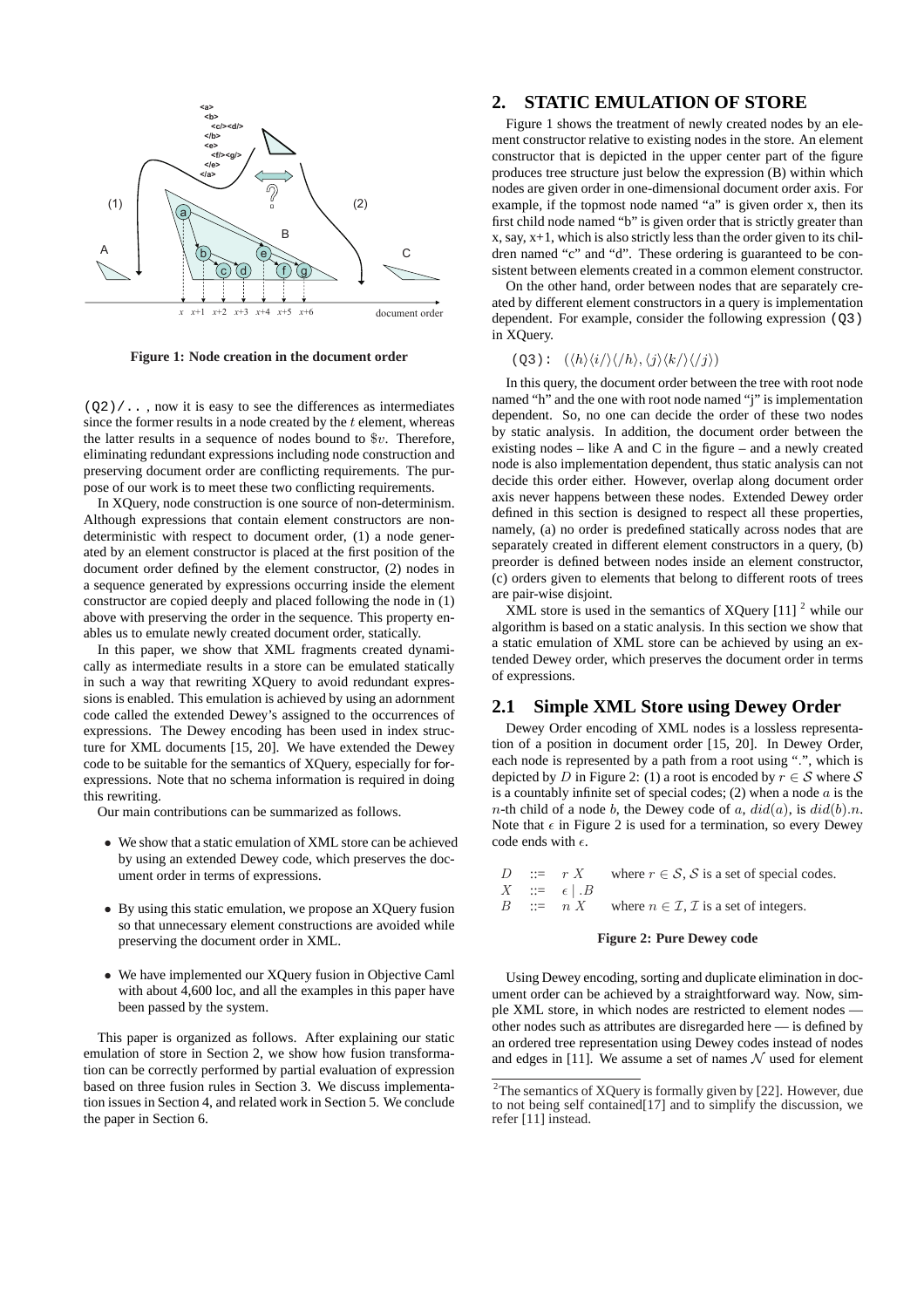

**Figure 1: Node creation in the document order**

 $(Q2)/...$ , now it is easy to see the differences as intermediates since the former results in a node created by the *t* element, whereas the latter results in a sequence of nodes bound to \$*v*. Therefore, eliminating redundant expressions including node construction and preserving document order are conflicting requirements. The purpose of our work is to meet these two conflicting requirements.

In XQuery, node construction is one source of non-determinism. Although expressions that contain element constructors are nondeterministic with respect to document order, (1) a node generated by an element constructor is placed at the first position of the document order defined by the element constructor, (2) nodes in a sequence generated by expressions occurring inside the element constructor are copied deeply and placed following the node in (1) above with preserving the order in the sequence. This property enables us to emulate newly created document order, statically.

In this paper, we show that XML fragments created dynamically as intermediate results in a store can be emulated statically in such a way that rewriting XQuery to avoid redundant expressions is enabled. This emulation is achieved by using an adornment code called the extended Dewey's assigned to the occurrences of expressions. The Dewey encoding has been used in index structure for XML documents [15, 20]. We have extended the Dewey code to be suitable for the semantics of XQuery, especially for forexpressions. Note that no schema information is required in doing this rewriting.

Our main contributions can be summarized as follows.

- *•* We show that a static emulation of XML store can be achieved by using an extended Dewey code, which preserves the document order in terms of expressions.
- *•* By using this static emulation, we propose an XQuery fusion so that unnecessary element constructions are avoided while preserving the document order in XML.
- *•* We have implemented our XQuery fusion in Objective Caml with about 4,600 loc, and all the examples in this paper have been passed by the system.

This paper is organized as follows. After explaining our static emulation of store in Section 2, we show how fusion transformation can be correctly performed by partial evaluation of expression based on three fusion rules in Section 3. We discuss implementation issues in Section 4, and related work in Section 5. We conclude the paper in Section 6.

# **2. STATIC EMULATION OF STORE**

Figure 1 shows the treatment of newly created nodes by an element constructor relative to existing nodes in the store. An element constructor that is depicted in the upper center part of the figure produces tree structure just below the expression (B) within which nodes are given order in one-dimensional document order axis. For example, if the topmost node named "a" is given order x, then its first child node named "b" is given order that is strictly greater than x, say, x+1, which is also strictly less than the order given to its children named "c" and "d". These ordering is guaranteed to be consistent between elements created in a common element constructor.

On the other hand, order between nodes that are separately created by different element constructors in a query is implementation dependent. For example, consider the following expression (Q3) in XQuery.

# $(Q3): (\langle h \rangle \langle i / \rangle \langle h \rangle, \langle j \rangle \langle k / \rangle \langle j \rangle)$

In this query, the document order between the tree with root node named "h" and the one with root node named "j" is implementation dependent. So, no one can decide the order of these two nodes by static analysis. In addition, the document order between the existing nodes – like A and C in the figure – and a newly created node is also implementation dependent, thus static analysis can not decide this order either. However, overlap along document order axis never happens between these nodes. Extended Dewey order defined in this section is designed to respect all these properties, namely, (a) no order is predefined statically across nodes that are separately created in different element constructors in a query, (b) preorder is defined between nodes inside an element constructor, (c) orders given to elements that belong to different roots of trees are pair-wise disjoint.

XML store is used in the semantics of XQuery  $[11]$ <sup>2</sup> while our algorithm is based on a static analysis. In this section we show that a static emulation of XML store can be achieved by using an extended Dewey order, which preserves the document order in terms of expressions.

## **2.1 Simple XML Store using Dewey Order**

Dewey Order encoding of XML nodes is a lossless representation of a position in document order [15, 20]. In Dewey Order, each node is represented by a path from a root using "*.*", which is depicted by *D* in Figure 2: (1) a root is encoded by  $r \in S$  where *S* is a countably infinite set of special codes; (2) when a node *a* is the *n*-th child of a node *b*, the Dewey code of *a*,  $did(a)$ , is  $did(b).n$ . Note that  $\epsilon$  in Figure 2 is used for a termination, so every Dewey code ends with *ϵ*.

|  |                        | D ::= $r X$ where $r \in S$ , S is a set of special codes. |
|--|------------------------|------------------------------------------------------------|
|  | $X$ ::= $\epsilon   B$ |                                                            |

*B* ::= *n X* where  $n \in \mathcal{I}, \mathcal{I}$  is a set of integers.

#### **Figure 2: Pure Dewey code**

Using Dewey encoding, sorting and duplicate elimination in document order can be achieved by a straightforward way. Now, simple XML store, in which nodes are restricted to element nodes other nodes such as attributes are disregarded here — is defined by an ordered tree representation using Dewey codes instead of nodes and edges in [11]. We assume a set of names  $N$  used for element

<sup>2</sup>The semantics of XQuery is formally given by [22]. However, due to not being self contained[17] and to simplify the discussion, we refer [11] instead.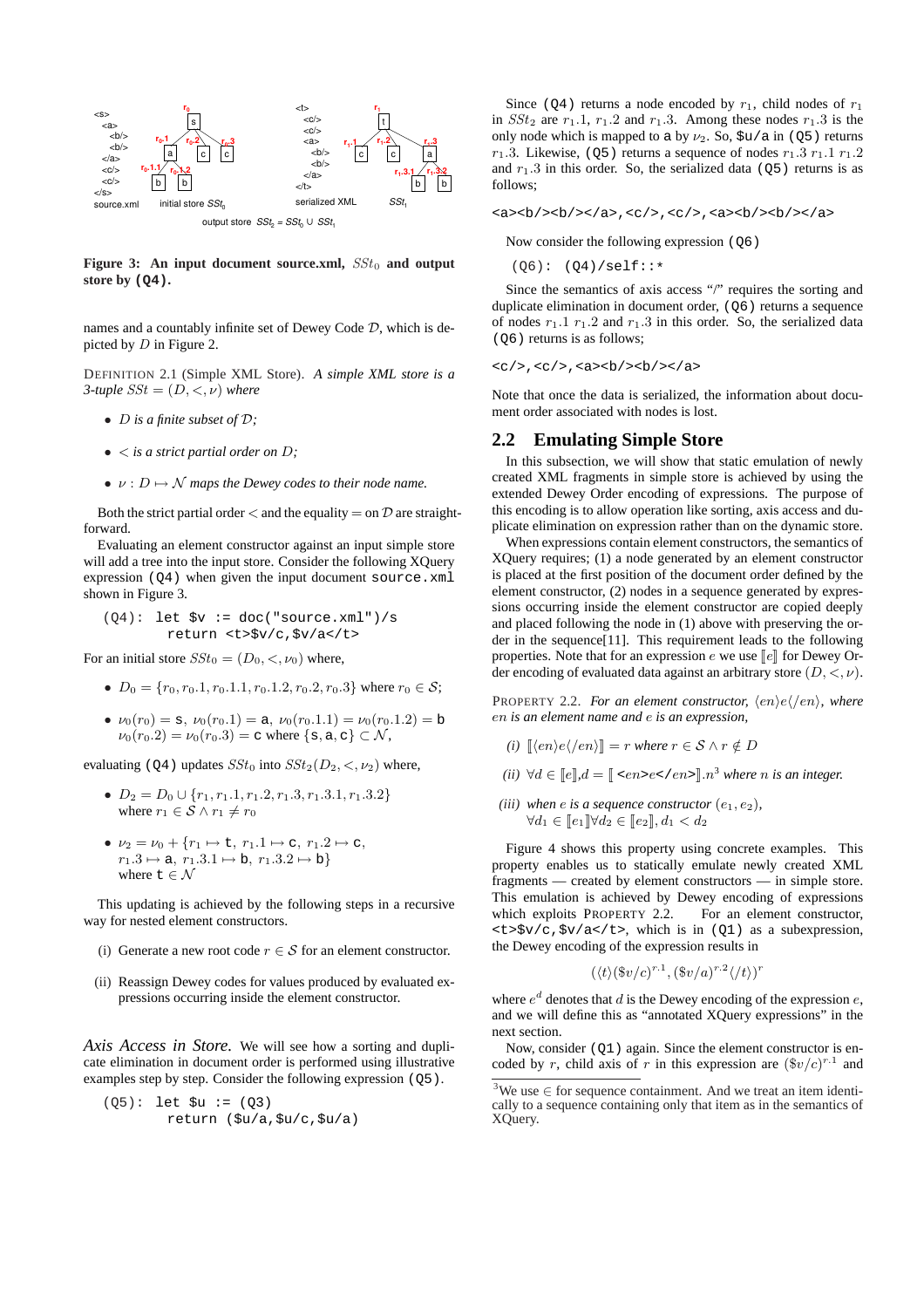

**Figure 3:** An input document source.xml,  $SSt_0$  and output **store by (Q4).**

names and a countably infinite set of Dewey Code *D*, which is depicted by *D* in Figure 2.

DEFINITION 2.1 (Simple XML Store). *A simple XML store is a 3-tuple*  $SSt = (D, \lt, \nu)$  where

- *• D is a finite subset of D;*
- *• < is a strict partial order on D;*
- $\nu : D \mapsto \mathcal{N}$  *maps the Dewey codes to their node name.*

Both the strict partial order  $\lt$  and the equality  $=$  on  $\mathcal D$  are straightforward.

Evaluating an element constructor against an input simple store will add a tree into the input store. Consider the following XQuery expression  $(Q4)$  when given the input document source.xml shown in Figure 3.

$$
(Q4):
$$
 let  $\$v := doc("source.xml")/sreturn `< code=""> $\$v/c, \$v/a$ <>`$ 

For an initial store  $SSt_0 = (D_0, \langle, \nu_0 \rangle)$  where,

- *•*  $D_0 = \{r_0, r_0.1, r_0.1.1, r_0.1.2, r_0.2, r_0.3\}$  where  $r_0 \in \mathcal{S}$ ;
- $\bullet \nu_0(r_0) = \mathbf{s}, \nu_0(r_0,1) = \mathbf{a}, \nu_0(r_0,1,1) = \nu_0(r_0,1,2) = \mathbf{b}$  $\nu_0(r_0.2) = \nu_0(r_0.3) = c$  where  $\{s, a, c\} \subset \mathcal{N}$ ,

evaluating (Q4) updates  $SSt_0$  into  $SSt_2(D_2, <, \nu_2)$  where,

- *• D*<sup>2</sup> = *D*<sup>0</sup> *∪ {r*1*, r*1*.*1*, r*1*.*2*, r*1*.*3*, r*1*.*3*.*1*, r*1*.*3*.*2*}* where  $r_1 \in S \wedge r_1 \neq r_0$
- $\bullet \nu_2 = \nu_0 + \{r_1 \mapsto t, r_1.1 \mapsto c, r_1.2 \mapsto c,$  $r_1 \cdot 3 \mapsto a, r_1 \cdot 3 \cdot 1 \mapsto b, r_1 \cdot 3 \cdot 2 \mapsto b$ where  $t \in \mathcal{N}$

This updating is achieved by the following steps in a recursive way for nested element constructors.

- (i) Generate a new root code  $r \in S$  for an element constructor.
- (ii) Reassign Dewey codes for values produced by evaluated expressions occurring inside the element constructor.

*Axis Access in Store.* We will see how a sorting and duplicate elimination in document order is performed using illustrative examples step by step. Consider the following expression (Q5).

$$
(Q5):
$$
 let  $\xi u := (Q3)$   
return  $(\xi u/a, \xi u/c, \xi u/a)$ 

Since (Q4) returns a node encoded by  $r_1$ , child nodes of  $r_1$ in  $SSt_2$  are  $r_1.1$ ,  $r_1.2$  and  $r_1.3$ . Among these nodes  $r_1.3$  is the only node which is mapped to a by *ν*2. So, \$u/a in (Q5) returns  $r_1$ .3. Likewise, ( $\circ$ 5) returns a sequence of nodes  $r_1$ .3  $r_1$ .1  $r_1$ .2 and  $r_1 \cdot 3$  in this order. So, the serialized data ( $\circ$ 5) returns is as follows;

<a><b/><b/></a>,<c/>,<c/>,<a><b/><b/></a>

Now consider the following expression (Q6)

 $(06): (04)/self::*$ 

Since the semantics of axis access "/" requires the sorting and duplicate elimination in document order, (Q6) returns a sequence of nodes  $r_1 \cdot 1$   $r_1 \cdot 2$  and  $r_1 \cdot 3$  in this order. So, the serialized data (Q6) returns is as follows;

 $, $, $$  $$  $$  $$  $$  $$$$ 

Note that once the data is serialized, the information about document order associated with nodes is lost.

### **2.2 Emulating Simple Store**

In this subsection, we will show that static emulation of newly created XML fragments in simple store is achieved by using the extended Dewey Order encoding of expressions. The purpose of this encoding is to allow operation like sorting, axis access and duplicate elimination on expression rather than on the dynamic store.

When expressions contain element constructors, the semantics of XQuery requires; (1) a node generated by an element constructor is placed at the first position of the document order defined by the element constructor, (2) nodes in a sequence generated by expressions occurring inside the element constructor are copied deeply and placed following the node in (1) above with preserving the order in the sequence[11]. This requirement leads to the following properties. Note that for an expression  $e$  we use  $\llbracket e \rrbracket$  for Dewey Order encoding of evaluated data against an arbitrary store (*D, <, ν*).

PROPERTY 2.2. *For an element constructor,*  $\langle en \rangle e \langle \langle en \rangle$ *, where en is an element name and e is an expression,*

- *(i)*  $\llbracket \langle en \rangle e \langle \langle en \rangle \rrbracket = r$  *where*  $r \in S \land r \notin D$
- *(ii)*  $\forall d \in \llbracket e \rrbracket, d = \llbracket \langle \langle e \rangle, e \rangle, e \rangle, e \rangle, e \rangle$  *n*<sup>3</sup> where *n* is an integer.

$$
\begin{aligned}\n\text{(iii) when } e \text{ is a sequence constructor } (e_1, e_2), \\
\forall d_1 \in [\![e_1]\!] \forall d_2 \in [\![e_2]\!], d_1 < d_2\n\end{aligned}
$$

Figure 4 shows this property using concrete examples. This property enables us to statically emulate newly created XML fragments — created by element constructors — in simple store. This emulation is achieved by Dewey encoding of expressions which exploits PROPERTY 2.2. For an element constructor,  $\langle t \rangle$  sv/c,  $\langle v \rangle$   $\langle v \rangle$   $\langle v \rangle$   $\langle v \rangle$  as in (01) as a subexpression, the Dewey encoding of the expression results in

$$
(\langle t \rangle (\$v/c)^{r.1}, (\$v/a)^{r.2} \langle /t \rangle)^r
$$

where  $e^d$  denotes that  $d$  is the Dewey encoding of the expression  $e$ , and we will define this as "annotated XQuery expressions" in the next section.

Now, consider (Q1) again. Since the element constructor is encoded by *r*, child axis of *r* in this expression are  $(\frac{6}{v/c})^{r.1}$  and

<sup>3</sup>We use *∈* for sequence containment. And we treat an item identically to a sequence containing only that item as in the semantics of XQuery.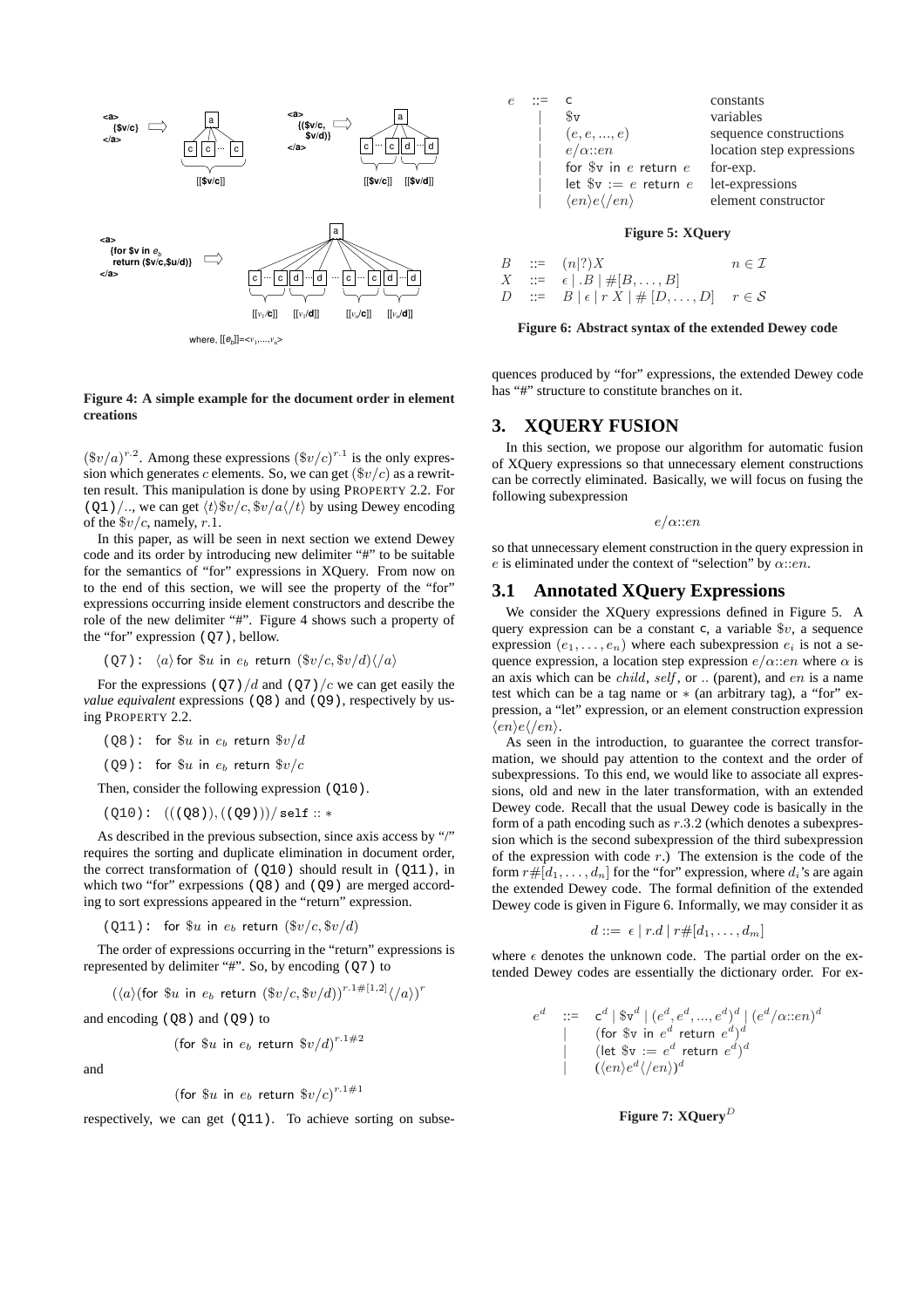

#### **Figure 4: A simple example for the document order in element creations**

 $(\$v/a)^{r.2}$ . Among these expressions  $(\$v/c)^{r.1}$  is the only expression which generates *c* elements. So, we can get (\$*v/c*) as a rewritten result. This manipulation is done by using PROPERTY 2.2. For (Q1)/.., we can get  $\langle t \rangle \$ r/c,  $\frac{f}{f}$  $\langle t \rangle$  by using Dewey encoding of the \$*v/c*, namely, *r.*1.

In this paper, as will be seen in next section we extend Dewey code and its order by introducing new delimiter "#" to be suitable for the semantics of "for" expressions in XQuery. From now on to the end of this section, we will see the property of the "for" expressions occurring inside element constructors and describe the role of the new delimiter "#". Figure 4 shows such a property of the "for" expression (Q7), bellow.

$$
(Q7): \langle a \rangle
$$
 for  $\$u$  in  $e_b$  return  $(\$v/c, \$v/d)\langle/a \rangle$ 

For the expressions  $(Q7)/d$  and  $(Q7)/c$  we can get easily the *value equivalent* expressions (Q8) and (Q9), respectively by using PROPERTY 2.2.

( $Q8$ ): for  $\&u$  in  $e<sub>b</sub>$  return  $\&v/d$ 

 $(Q9)$ : for  $\&u$  in  $e_b$  return  $\&v/c$ 

Then, consider the following expression ( $Q10$ ).

(Q10): (((Q8))*,* ((Q9)))*/* self :: *∗*

As described in the previous subsection, since axis access by "/" requires the sorting and duplicate elimination in document order, the correct transformation of  $(Q10)$  should result in  $(Q11)$ , in which two "for" exrpessions ( $\circ$ 8) and ( $\circ$ 9) are merged according to sort expressions appeared in the "return" expression.

(Q11): for  $\mathcal{F}_u$  in  $e_b$  return  $(\mathcal{F}_v/c, \mathcal{F}_v/d)$ 

The order of expressions occurring in the "return" expressions is represented by delimiter "#". So, by encoding (Q7) to

$$
(\langle a \rangle \text{(for $\$u$ in } e_b \text{ return } (\$v/c, \$v/d)\text{)}^{r.1\#[1,2]} \langle /a \rangle \text{)}^r
$$

and encoding  $(Q8)$  and  $(Q9)$  to

(for 
$$
\$u
$$
 in  $e_b$  return  $\$v/d\right)^{r.1\#2}$ 

and

(for 
$$
\$u
$$
 in  $e_b$  return  $\$v/c\right)^{r.1\#1}$ 

respectively, we can get (Q11). To achieve sorting on subse-

|  |                                                    | constants                 |
|--|----------------------------------------------------|---------------------------|
|  | \$v                                                | variables                 |
|  | (e, e, , e)                                        | sequence constructions    |
|  | $e/\alpha$ ::en                                    | location step expressions |
|  | for $v$ in $e$ return $e$                          | for-exp.                  |
|  | let $v := e$ return $e$                            | let-expressions           |
|  | $\langle en \rangle e \langle \rangle e n \rangle$ | element constructor       |
|  |                                                    |                           |

#### **Figure 5: XQuery**

*B* ::=  $(n|?)X$   $n \in \mathcal{I}$ <br> *X* ::=  $\epsilon |B| \neq [B, \ldots, B]$  $\begin{array}{ccc} X & ::= & \epsilon | B | \# [B, \ldots, B] \\ D & ::= & B | \epsilon | r X | \# [D] \end{array}$  $E := B | \epsilon | r X | # [D, \ldots, D]$   $r \in S$ 

#### **Figure 6: Abstract syntax of the extended Dewey code**

quences produced by "for" expressions, the extended Dewey code has "#" structure to constitute branches on it.

## **3. XQUERY FUSION**

In this section, we propose our algorithm for automatic fusion of XQuery expressions so that unnecessary element constructions can be correctly eliminated. Basically, we will focus on fusing the following subexpression

#### *e/α*::*en*

so that unnecessary element construction in the query expression in *e* is eliminated under the context of "selection" by *α*::*en*.

### **3.1 Annotated XQuery Expressions**

We consider the XQuery expressions defined in Figure 5. A query expression can be a constant c, a variable \$*v*, a sequence expression  $(e_1, \ldots, e_n)$  where each subexpression  $e_i$  is not a sequence expression, a location step expression  $e/\alpha$ ::*en* where  $\alpha$  is an axis which can be *child*, *self* , or *..* (parent), and *en* is a name test which can be a tag name or *∗* (an arbitrary tag), a "for" expression, a "let" expression, or an element construction expression *⟨en⟩e⟨/en⟩*.

As seen in the introduction, to guarantee the correct transformation, we should pay attention to the context and the order of subexpressions. To this end, we would like to associate all expressions, old and new in the later transformation, with an extended Dewey code. Recall that the usual Dewey code is basically in the form of a path encoding such as *r.*3*.*2 (which denotes a subexpression which is the second subexpression of the third subexpression of the expression with code *r*.) The extension is the code of the form  $r \# [d_1, \ldots, d_n]$  for the "for" expression, where  $d_i$ 's are again the extended Dewey code. The formal definition of the extended Dewey code is given in Figure 6. Informally, we may consider it as

$$
d ::= \epsilon | r.d | r \# [d_1, \ldots, d_m]
$$

where  $\epsilon$  denotes the unknown code. The partial order on the extended Dewey codes are essentially the dictionary order. For ex-

$$
\begin{array}{ccc} e^d & ::= & \mathsf{c}^d \mid \$ \mathsf{v}^d \mid (e^d, e^d, ..., e^d)^d \mid (e^d / \alpha::en)^d \\ & | & (\text{for } \$ \mathsf{v} \text{ in } e^d \text{ return } e^d)^d \\ & | & (\text{let } \$ \mathsf{v} := e^d \text{ return } e^d)^d \\ & | & ((en)e^d \langle /en \rangle)^d \end{array}
$$

### **Figure 7: XQuery***<sup>D</sup>*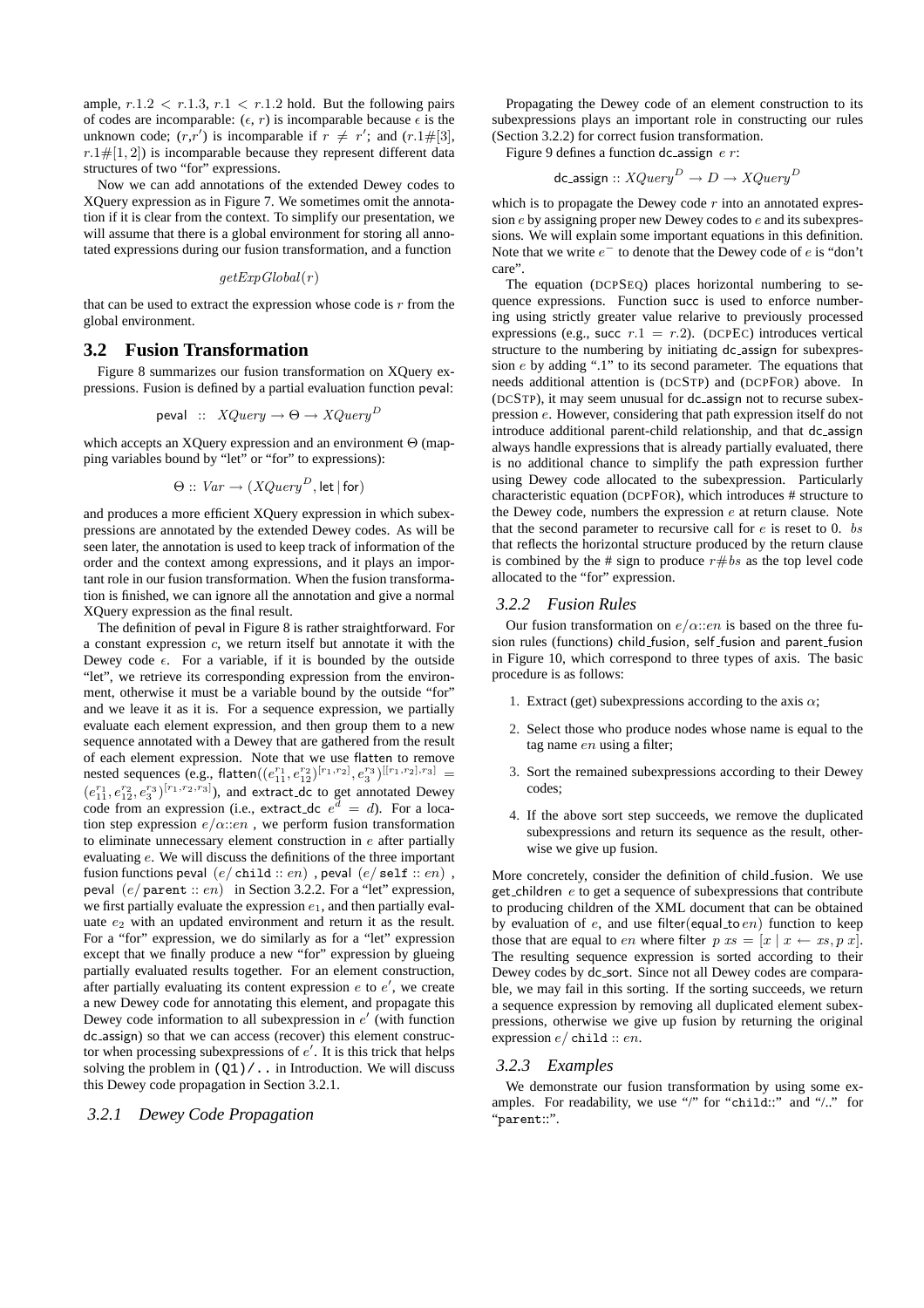ample,  $r.1.2 < r.1.3, r.1 < r.1.2$  hold. But the following pairs of codes are incomparable:  $(\epsilon, r)$  is incomparable because  $\epsilon$  is the unknown code;  $(r,r')$  is incomparable if  $r \neq r'$ ; and  $(r.1\#[3],$  $r.1 \neq [1, 2]$ ) is incomparable because they represent different data structures of two "for" expressions.

Now we can add annotations of the extended Dewey codes to XQuery expression as in Figure 7. We sometimes omit the annotation if it is clear from the context. To simplify our presentation, we will assume that there is a global environment for storing all annotated expressions during our fusion transformation, and a function

$$
getExpGlobal(r)
$$

that can be used to extract the expression whose code is *r* from the global environment.

### **3.2 Fusion Transformation**

Figure 8 summarizes our fusion transformation on XQuery expressions. Fusion is defined by a partial evaluation function peval:

$$
\text{peval} \ :: \ XQuery \to \Theta \to XQuery^D
$$

which accepts an XQuery expression and an environment Θ (mapping variables bound by "let" or "for" to expressions):

$$
\Theta :: \textit{Var} \rightarrow (XQuery^D, \text{let} | \text{for})
$$

and produces a more efficient XQuery expression in which subexpressions are annotated by the extended Dewey codes. As will be seen later, the annotation is used to keep track of information of the order and the context among expressions, and it plays an important role in our fusion transformation. When the fusion transformation is finished, we can ignore all the annotation and give a normal XQuery expression as the final result.

The definition of peval in Figure 8 is rather straightforward. For a constant expression *c*, we return itself but annotate it with the Dewey code  $\epsilon$ . For a variable, if it is bounded by the outside "let", we retrieve its corresponding expression from the environment, otherwise it must be a variable bound by the outside "for" and we leave it as it is. For a sequence expression, we partially evaluate each element expression, and then group them to a new sequence annotated with a Dewey that are gathered from the result of each element expression. Note that we use flatten to remove  ${\rm nested}$  sequences (e.g.,  ${\rm flatten}((e_{11}^{r_1},e_{12}^{r_2})^{[r_1,r_2]},e_{3}^{r_3})^{[[r_1,r_2],r_3]}$  =  $(e_{11}^{r_1}, e_{12}^{r_2}, e_3^{r_3})^{[r_1, r_2, r_3]}$ , and extract\_dc to get annotated Dewey code from an expression (i.e., extract dc  $e^d = d$ ). For a location step expression *e/α*::*en* , we perform fusion transformation to eliminate unnecessary element construction in *e* after partially evaluating *e*. We will discuss the definitions of the three important fusion functions peval (*e/* child :: *en*) , peval (*e/* self :: *en*) , peval (*e/* parent :: *en*) in Section 3.2.2. For a "let" expression, we first partially evaluate the expression *e*1, and then partially evaluate  $e_2$  with an updated environment and return it as the result. For a "for" expression, we do similarly as for a "let" expression except that we finally produce a new "for" expression by glueing partially evaluated results together. For an element construction, after partially evaluating its content expression *e* to *e ′* , we create a new Dewey code for annotating this element, and propagate this Dewey code information to all subexpression in *e ′* (with function dc assign) so that we can access (recover) this element constructor when processing subexpressions of *e ′* . It is this trick that helps solving the problem in  $(Q1) / \ldots$  in Introduction. We will discuss this Dewey code propagation in Section 3.2.1.

#### *3.2.1 Dewey Code Propagation*

Propagating the Dewey code of an element construction to its subexpressions plays an important role in constructing our rules (Section 3.2.2) for correct fusion transformation.

Figure 9 defines a function dc assign *e r*:

dc\_assign ::  $XQuery^D \rightarrow D \rightarrow XQuery^D$ 

which is to propagate the Dewey code *r* into an annotated expression *e* by assigning proper new Dewey codes to *e* and its subexpressions. We will explain some important equations in this definition. Note that we write *e <sup>−</sup>* to denote that the Dewey code of *e* is "don't care".

The equation (DCPSEQ) places horizontal numbering to sequence expressions. Function succ is used to enforce numbering using strictly greater value relarive to previously processed expressions (e.g., succ  $r \cdot 1 = r \cdot 2$ ). (DCPEC) introduces vertical structure to the numbering by initiating dc assign for subexpression *e* by adding ".1" to its second parameter. The equations that needs additional attention is (DCSTP) and (DCPFOR) above. In (DCSTP), it may seem unusual for dc assign not to recurse subexpression *e*. However, considering that path expression itself do not introduce additional parent-child relationship, and that dc assign always handle expressions that is already partially evaluated, there is no additional chance to simplify the path expression further using Dewey code allocated to the subexpression. Particularly characteristic equation (DCPFOR), which introduces # structure to the Dewey code, numbers the expression *e* at return clause. Note that the second parameter to recursive call for *e* is reset to 0. *bs* that reflects the horizontal structure produced by the return clause is combined by the # sign to produce  $r \# bs$  as the top level code allocated to the "for" expression.

#### *3.2.2 Fusion Rules*

Our fusion transformation on  $e/\alpha$ ::*en* is based on the three fusion rules (functions) child fusion, self fusion and parent fusion in Figure 10, which correspond to three types of axis. The basic procedure is as follows:

- 1. Extract (get) subexpressions according to the axis  $\alpha$ ;
- 2. Select those who produce nodes whose name is equal to the tag name *en* using a filter;
- 3. Sort the remained subexpressions according to their Dewey codes;
- 4. If the above sort step succeeds, we remove the duplicated subexpressions and return its sequence as the result, otherwise we give up fusion.

More concretely, consider the definition of child fusion. We use get children *e* to get a sequence of subexpressions that contribute to producing children of the XML document that can be obtained by evaluation of *e*, and use filter(equal\_to *en*) function to keep those that are equal to *en* where filter  $p$   $xs = [x \mid x \leftarrow xs, p \; x]$ . The resulting sequence expression is sorted according to their Dewey codes by dc\_sort. Since not all Dewey codes are comparable, we may fail in this sorting. If the sorting succeeds, we return a sequence expression by removing all duplicated element subexpressions, otherwise we give up fusion by returning the original expression *e/* child :: *en*.

#### *3.2.3 Examples*

We demonstrate our fusion transformation by using some examples. For readability, we use "/" for "child::" and "/.." for "parent::".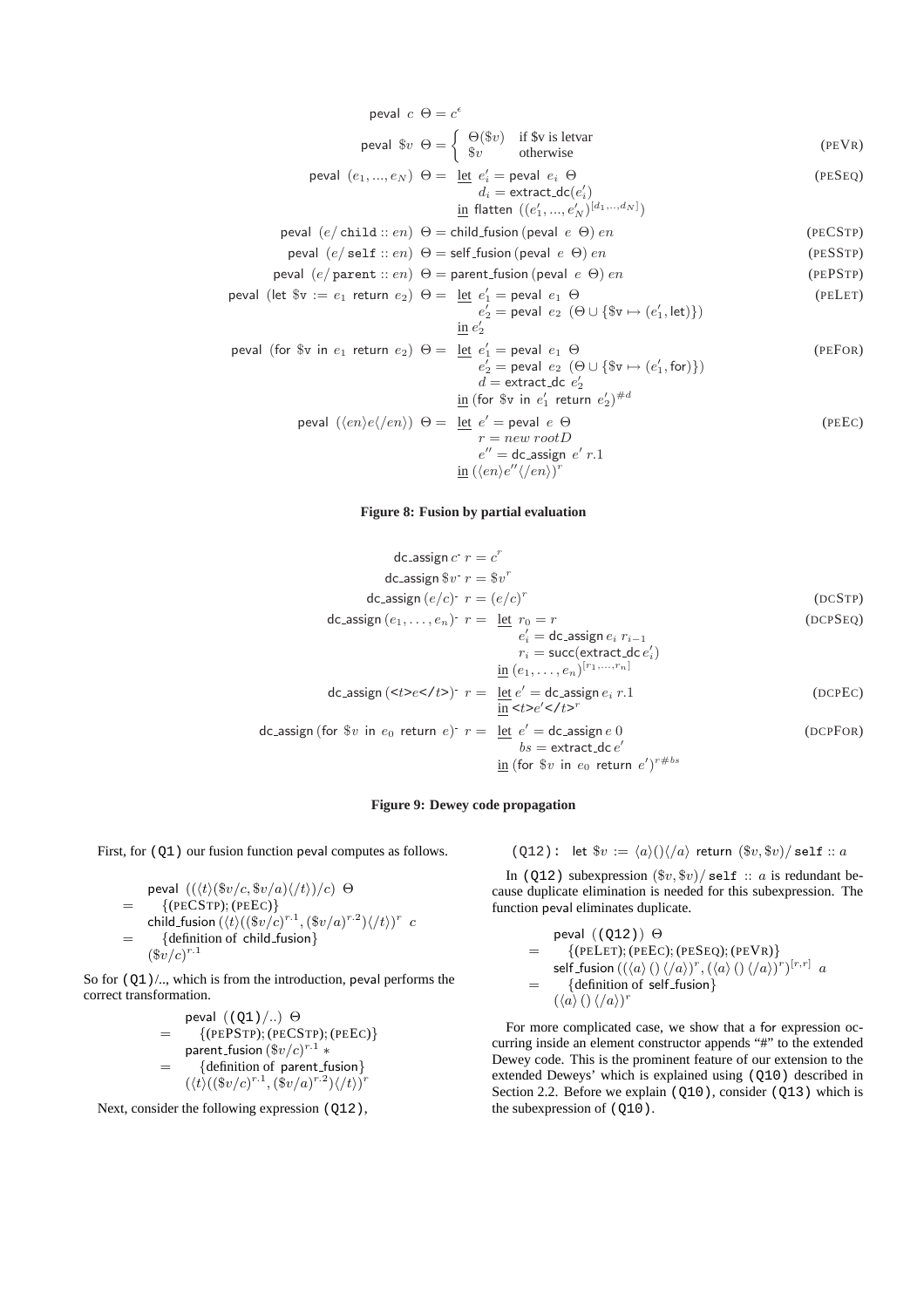real c Θ = c<sup>ε</sup>

\nreal 
$$
w
$$
 Θ =  $\begin{cases}\n\Theta(\$v)\end{cases}$  if  $w$  is letvar

\nreal  $w$  ∈  $e$  =  $e'$  =  $e'$  =  $e'$  =  $e'$  =  $e'$  =  $e'$  =  $e'$  =  $e'$  =  $e'$  =  $e'$  =  $e'$  =  $e'$  =  $e'$  =  $e'$  =  $e'$  =  $e'$  =  $e'$  =  $e'$  =  $e'$  =  $e'$  =  $e'$  =  $e'$  =  $e'$  =  $e'$  =  $e'$  =  $e'$  =  $e'$  =  $e'$  =  $e'$  =  $e'$  =  $e'$  =  $e'$  =  $e'$  =  $e'$  =  $e'$  =  $e'$  =  $e'$  =  $e'$  =  $e'$  =  $e'$  =  $e'$  =  $e'$  =  $e'$  =  $e'$  =  $e'$  =  $e'$  =  $e'$  =  $e'$  =  $e'$  =  $e'$  =  $e'$  =  $e'$  =  $e'$  =  $e'$  =  $e'$  =  $e'$  =  $e'$  =  $e'$  =  $e'$  =  $e'$  =  $$ 

# **Figure 8: Fusion by partial evaluation**

$$
dc\text{-assign } c^r r = c^r
$$
\n
$$
dc\text{-assign } $v^r r = $v^r$
$$
\n
$$
dc\text{-assign } (e/c)^r r = (e/c)^r$ \qquad (DCSTP)
$$
\n
$$
dc\text{-assign } (e_1, \ldots, e_n)^r r = \frac{\text{let } r_0 = r}{e'_i} = \text{dc}\text{-assign } e_i \ r_{i-1}
$$
\n
$$
r_i = \text{succ}(\text{extract\_dc } e'_i)
$$
\n
$$
\frac{\text{in } (e_1, \ldots, e_n)^{[r_1, \ldots, r_n]}}{\text{in } (e_1, \ldots, e_n)^{[r_1, \ldots, r_n]}}
$$
\n
$$
dc\text{-assign } (\text{ct}>e
$$
\n
$$
c
$$
\n
$$
\frac{\text{in } \text{ct}>e
$$
\n
$$
c
$$
\n
$$
\frac{\text{in } \text{ct}>e}{\text{ct\_c}} \cdot \text{ct>}r$ \qquad (DCPEC)
$$
\n
$$
bs = \text{extract\_dc } e'
$$
\n
$$
\frac{\text{in } \text{for } $v \text{ in } e_0 \text{ return } e$'}{s}
$$
\n
$$
\frac{\text{for } $v \text{ in } e_0 \text{ return } e$'}{s}
$$

### **Figure 9: Dewey code propagation**

First, for  $(Q1)$  our fusion function peval computes as follows.

\n
$$
\text{peval } \left( \frac{\langle t \rangle \langle \mathcal{F}v/c, \mathcal{F}v/a \rangle \langle t \rangle}{c} \right) \Theta
$$
\n

\n\n $= \left\{ \text{(PECSTP)}; \text{(PEEC)} \right\}$ \n

\n\n $\text{child_fusion } \left( \frac{t}{\langle (\mathcal{F}v/c)^{r \cdot 1}, (\mathcal{F}v/a)^{r \cdot 2} \rangle}{\langle \mathcal{F}v/c \rangle^{r \cdot 1}} \right)$ \n

\n\n $= \left\{ \text{definition of child_fusion} \right\}$ \n

So for  $(Q1)$  /.., which is from the introduction, peval performs the correct transformation.

$$
= \begin{array}{ll}\n\text{peval } (\text{(Q1)}\text{/...} ) \oplus \\
&= \{(\text{PEPSTP}); (\text{PECSTP}); (\text{PEEC})\} \\
\text{parent-fusion } (\$v/c)^{r.1} * \\
&= \{ \text{definition of parent-fusion} \} \\
(\langle t \rangle ((\$v/c)^{r.1}, (\$v/a)^{r.2}) \langle / t \rangle)^r\n\end{array}
$$

Next, consider the following expression (Q12),

$$
(Q12):
$$
 let  $\$v := \langle a \rangle(\ )\langle /a \rangle$  return  $(\$v, \$v)/$  self :: a

In (Q12) subexpression  $(\text{$}v, \text{$}v)/\text{self}$  :: *a* is redundant because duplicate elimination is needed for this subexpression. The function peval eliminates duplicate.

\n
$$
\text{peval } ( (Q12) ) \, \Theta
$$
\n
$$
= \{ (\text{PELET}); (\text{PEEC}); (\text{PESeq}); (\text{PEVR}) \}
$$
\n
$$
\text{self-fusion } ( ( \langle a \rangle () \langle / a \rangle )^r , (\langle a \rangle () \langle / a \rangle )^r )^{[r,r]} \, a
$$
\n
$$
= \{ \text{definition of self-fusion} \}
$$
\n
$$
( \langle a \rangle () \langle / a \rangle )^r
$$
\n

For more complicated case, we show that a for expression occurring inside an element constructor appends "#" to the extended Dewey code. This is the prominent feature of our extension to the extended Deweys' which is explained using (Q10) described in Section 2.2. Before we explain  $(Q10)$ , consider  $(Q13)$  which is the subexpression of  $(Q10)$ .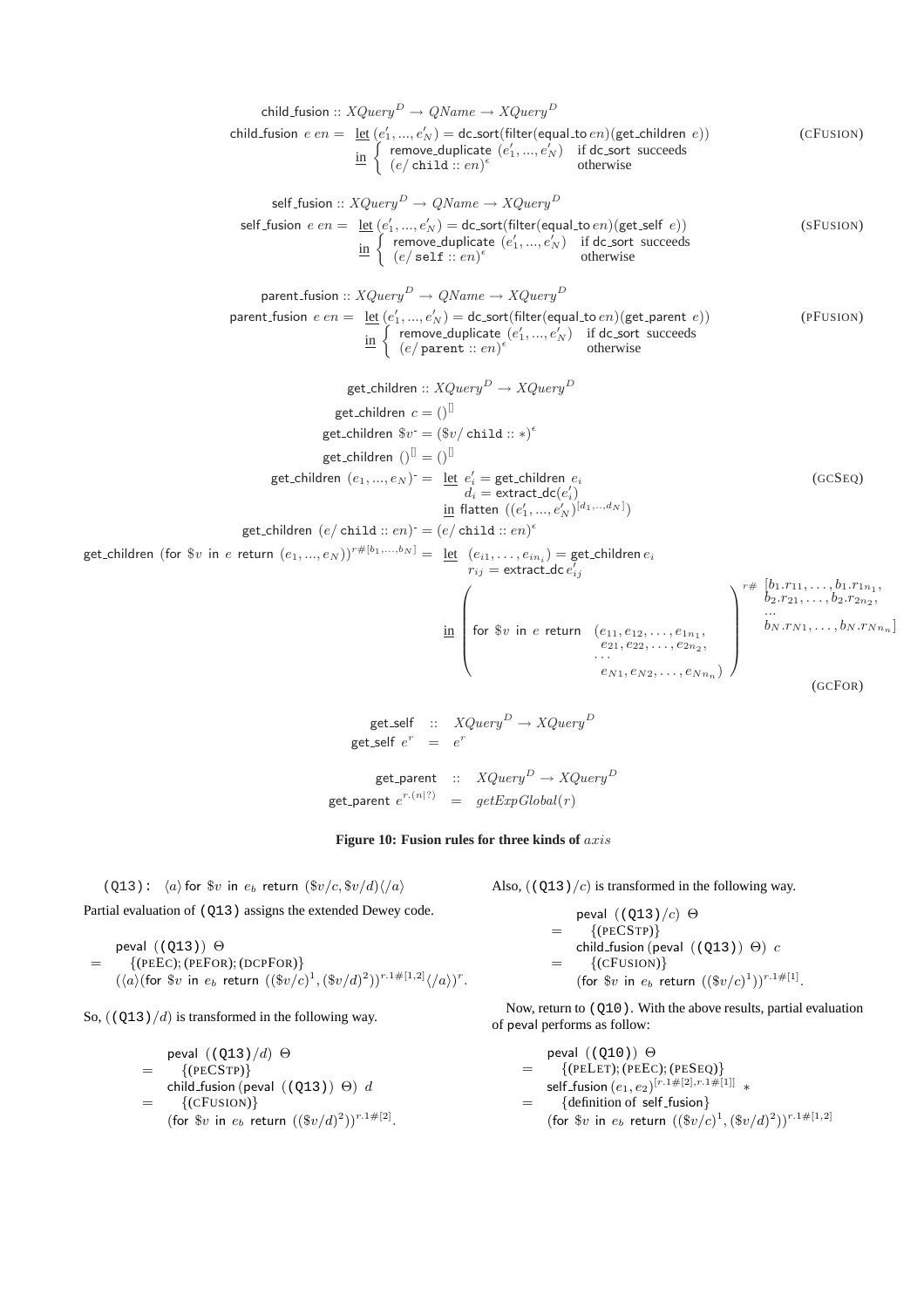child.fusion :: XQuery<sup>D</sup> → QName → XQuery<sup>D</sup>  
\nchild.fusion 
$$
e \cdot e = \text{let } (e'_1, ..., e'_N) = \text{desort}(filter(\text{equal.tto } e))
$$
 (CFUSION)  
\n $\text{in } \begin{cases} \text{remove duplicate } (e'_1, ..., e'_N) = \text{if } e \text{is} \text{or } \text{success} \\ (e'_1, ..., e'_N) = \text{if } e \text{is} \text{or } \text{success} \end{cases}$  (CFUSION)  
\nself.fusion :: XQuery<sup>D</sup> → QName → XQuery<sup>D</sup>  
\nself.fusion :: XQuery<sup>D</sup> → QName → XQuery<sup>D</sup>  
\nself.fusion :: XQuery<sup>D</sup> → QName → XQuery<sup>D</sup>  
\n $\text{if } (e'_1 \text{self}) := \text{if } e'_1, ..., e'_N \text{ if } e'_N \text{ is } \text{otherwise}$   
\nparent.fusion :: XQuery<sup>D</sup> → QName → XQuery<sup>D</sup>  
\nparent.fusion  $e \cdot e = \text{let } (e'_1, ..., e'_N) = \text{desort}(\text{filter}(\text{equal.t: } e))$  (FFUSION)  
\n $\text{in } \begin{cases} \text{remove duplicate } (e'_1, ..., e'_N) & \text{if } d \text{is} \text{or } \text{success} \\ (e'_1 \text{ parent} : e \cdot n)^e & \text{otherwise} \end{cases}$   
\n $\text{get children } e \cdot \text{ or } 0$   
\n $\text{get children } e \cdot \text{ or } 0$   
\n $\text{get children } (e_1, ..., e_N) = \text{let } e'_1 = \text{get children } e_i$   
\n $\text{get children } (e_1, ..., e_N) = \text{let } e'_1 = \text{get children } e_i$   
\n $\text{get children } (e_1, ..., e_N) = \text{let } e'_1 = \text{get children } e_i$   
\n $\text{get children } (e_1, ..., e_N) = \text{let } e'_1 = \text{get children } e_i$   
\n $\text{right } (e_1, ..., e_N) = \text{let } e'_1 = \text{nextact.de } e'_1$   
\n $\text{right } (e_1, ..., e_N) = \text{let } e'_1 = \text{nextact.de$ 



(Q13):  $\langle a \rangle$  for  $v$  in  $e_b$  return  $(\frac{v}{c}, \frac{v}{d})\langle a \rangle$ 

Partial evaluation of (Q13) assigns the extended Dewey code.

\n
$$
\text{peval} \left( (Q13) \right) \Theta
$$
\n  
\n $= \{ (\text{PEEC}); (\text{PEFOR}); (\text{DCPFOR}) \} \left( \langle a \rangle (\text{for } \$v \text{ in } e_b \text{ return } ((\$v/c)^1, (\$v/d)^2))^{r \cdot 1 \# [1,2]} \langle /a \rangle \right)^r.$ \n

So, ((Q13)*/d*) is transformed in the following way.

\n
$$
\text{peval} \left( \frac{Q13}{d} \right) \Theta
$$
\n
$$
= \left\{ \begin{array}{l}\n \text{(PECSTP)} \\
 \text{child-fusion (peval } \left( \text{Q13} \right) \right) \Theta \right\} \, d \\
 = \left\{ \begin{array}{l}\n \text{(CFUSION)} \\
 \text{(for $w$ in $e_b$ return } \left( \frac{w}{d} \right)^2 \right)^{r \cdot 1 \#[2]}.\n \end{array}\n \end{array}
$$
\n

Also, ((Q13)*/c*) is transformed in the following way.

\n
$$
\text{peval} \left( \frac{Q13}{c} \right) \Theta
$$
\n
$$
= \left\{ \begin{array}{l}\n (\text{PECSTP}) \right\}
$$
\n
$$
\text{child_fusion} \left( \text{peval} \right) \left( \left( Q13 \right) \right) \Theta \right) c
$$
\n
$$
= \left\{ (\text{CFUSION}) \right\}
$$
\n
$$
\left( \text{for } \$v \text{ in } e_b \text{ return } \left( \left( \$v/c \right)^1 \right) \right)^{r.1 \# [1]}.
$$
\n

Now, return to (Q10). With the above results, partial evaluation of peval performs as follow:

$$
= \begin{array}{ll}\n\text{peval } ((\text{Q10})) \Theta \\
= & \{(\text{PELET}); (\text{PEEC}); (\text{PESEQ})\} \\
\text{self-fusion } (e_1, e_2)^{[r.1\#[2], r.1\#[1]]} * \\
= & \{ \text{definition of self-fusion} \} \\
(\text{for $v$ in } e_b \text{ return } ((\$v/c)^1, (\$v/d)^2))^{r.1\#[1,2]} \n\end{array}
$$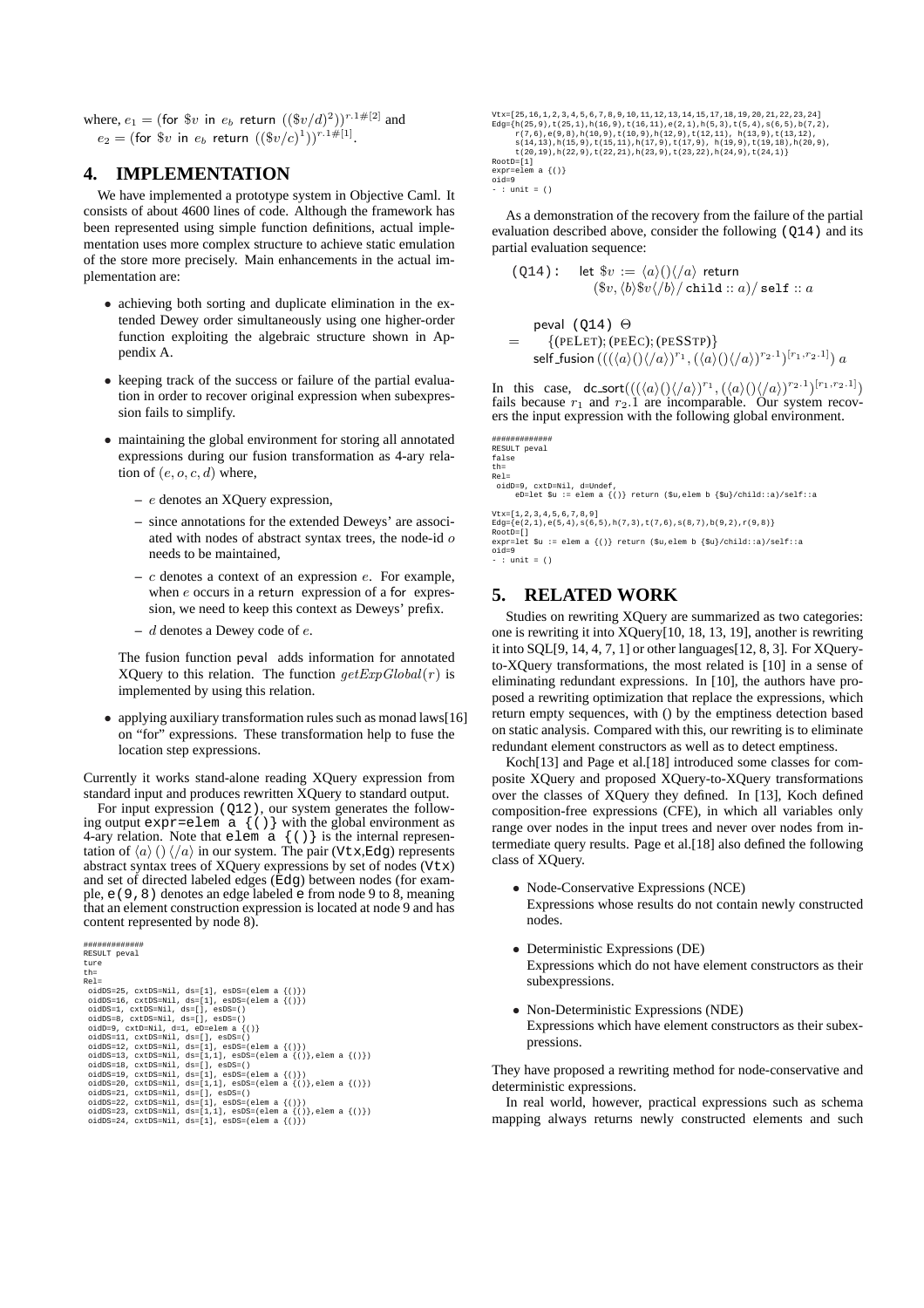where,  $e_1 = (\text{for } \$v \text{ in } e_b \text{ return } ((\$v/d)^2))^{r.1\#[2]}$  and  $e_2 = (\text{for } \$v \text{ in } e_b \text{ return } ((\$v/c)^1))^{r.1\#[1]}.$ 

# **4. IMPLEMENTATION**

We have implemented a prototype system in Objective Caml. It consists of about 4600 lines of code. Although the framework has been represented using simple function definitions, actual implementation uses more complex structure to achieve static emulation of the store more precisely. Main enhancements in the actual implementation are:

- *•* achieving both sorting and duplicate elimination in the extended Dewey order simultaneously using one higher-order function exploiting the algebraic structure shown in Appendix A.
- keeping track of the success or failure of the partial evaluation in order to recover original expression when subexpression fails to simplify.
- *•* maintaining the global environment for storing all annotated expressions during our fusion transformation as 4-ary relation of (*e, o, c, d*) where,
	- **–** *e* denotes an XQuery expression,
	- **–** since annotations for the extended Deweys' are associated with nodes of abstract syntax trees, the node-id *o* needs to be maintained,
	- **–** *c* denotes a context of an expression *e*. For example, when *e* occurs in a return expression of a for expression, we need to keep this context as Deweys' prefix.
	- **–** *d* denotes a Dewey code of *e*.

The fusion function peval adds information for annotated XQuery to this relation. The function  $getExpGlobal(r)$  is implemented by using this relation.

• applying auxiliary transformation rules such as monad laws[16] on "for" expressions. These transformation help to fuse the location step expressions.

Currently it works stand-alone reading XQuery expression from standard input and produces rewritten XQuery to standard output.

For input expression (Q12), our system generates the following output expr=elem  $a \{ () \}$  with the global environment as 4-ary relation. Note that elem  $\alpha$  {()} is the internal representation of  $\langle a \rangle$  ()  $\langle a \rangle$  in our system. The pair (Vtx,Edg) represents abstract syntax trees of XQuery expressions by set of nodes (Vtx) and set of directed labeled edges (Edg) between nodes (for example, e(9,8) denotes an edge labeled e from node 9 to 8, meaning that an element construction expression is located at node 9 and has content represented by node 8).

```
#############
 RESULT peval
ture
th=
Rel=
    oidDS=25, cxtDS=Nil, ds=[1], esDS=(elem a {()})<br>oidDS=16, cxtDS=Nil, ds=[1], esDS=(elem a {()})<br>oidDS=1, cxtDS=Nil, ds=[1, esDS=()<br>oidD=9, cxtDS=Nil, ds=[1, esDS=()<br>oidD=9, cxtD=Nil, d=1, eD=elem a {()}<br>oidDs=11, cxtDS=Ni
```
Vtx=[25,16,1,2,3,4,5,6,7,8,9,10,11,12,13,14,15,17,18,19,20,21,22,23,24]  $Edg = \{h(25, 9), h(25, 1), h(16, 9), h(16, 9), h(12, 9), h(15, 3), h(15, 4), h(15, 5), h(7, 2), h(7, 6), h(8, 9), h(12, 9), h(12, 9), h(12, 9), h(13, 9), h(13, 19), h(13, 19), h(13, 19), h(13, 19), h(13, 19), h(20, 9), h(20, 9), h(21, 19), h(22, 9), h(22, 21), h(23, 9), h(2$ 

```
RootD=[1]
expr=elem a {()}
```

```
oid=9
- : unit = ()
```
As a demonstration of the recovery from the failure of the partial evaluation described above, consider the following (Q14) and its partial evaluation sequence:

$$
(\text{Q14}): \quad \text{let } \$v := \langle a \rangle \big( \rangle \big/ \langle a \rangle \text{ return}
$$
\n
$$
(\$v, \langle b \rangle \$v \langle /b \rangle / \text{child} :: a) / \text{self} :: a
$$
\n
$$
\text{peval } (\text{Q14}) \Theta
$$
\n
$$
= \{ \text{[PEI F1]} : (\text{PEFC}) : (\text{PESSTP}) \}
$$

= *{*(PELET); (PEEC); (PESSTP)*}*  ${\rm self\_fusion} \left( ((\langle a \rangle() \langle /a \rangle)^{r_1}, (\langle a \rangle() \langle /a \rangle)^{r_2.1})^{[r_1, r_2.1]} \right) a$ 

In this case,  $dc\_sort(((\langle a \rangle)(\langle a \rangle)^{r_1}, (\langle a \rangle)(\langle a \rangle)^{r_2} \cdot 1)^{[r_1, r_2, 1]}$ fails because  $r_1$  and  $r_2.1$  are incomparable. Our system recovers the input expression with the following global environment.

```
#############
RESULT peval
false
th=<br>Rel=
```

```
Rel=
oidD=9, cxtD=Nil, d=Undef,
eD=let $u := elem a {()} return ($u,elem b {$u}/child::a)/self::a
```
Vtx=[1,2,3,4,5,6,7,8,9]<br>Edg={e(2,1),e(5,4),s(6,5),h(7,3),t(7,6),s(8,7),b(9,2),r(9,8)} Edg={e(2,1),e(5,4),s(6,5),h(7,3),t(7,6),s(8,7),b(9,2),r(9,8)} RootD=[] expr=let \$u := elem a {()} return (\$u,elem b {\$u}/child::a)/self::a oid=9 - : unit = ()

# **5. RELATED WORK**

Studies on rewriting XQuery are summarized as two categories: one is rewriting it into XQuery[10, 18, 13, 19], another is rewriting it into SQL[9, 14, 4, 7, 1] or other languages[12, 8, 3]. For XQueryto-XQuery transformations, the most related is [10] in a sense of eliminating redundant expressions. In [10], the authors have proposed a rewriting optimization that replace the expressions, which return empty sequences, with () by the emptiness detection based on static analysis. Compared with this, our rewriting is to eliminate redundant element constructors as well as to detect emptiness.

Koch[13] and Page et al.[18] introduced some classes for composite XQuery and proposed XQuery-to-XQuery transformations over the classes of XQuery they defined. In [13], Koch defined composition-free expressions (CFE), in which all variables only range over nodes in the input trees and never over nodes from intermediate query results. Page et al.[18] also defined the following class of XQuery.

*•* Node-Conservative Expressions (NCE)

Expressions whose results do not contain newly constructed nodes.

- *•* Deterministic Expressions (DE) Expressions which do not have element constructors as their subexpressions.
- *•* Non-Deterministic Expressions (NDE) Expressions which have element constructors as their subexpressions.

They have proposed a rewriting method for node-conservative and deterministic expressions.

In real world, however, practical expressions such as schema mapping always returns newly constructed elements and such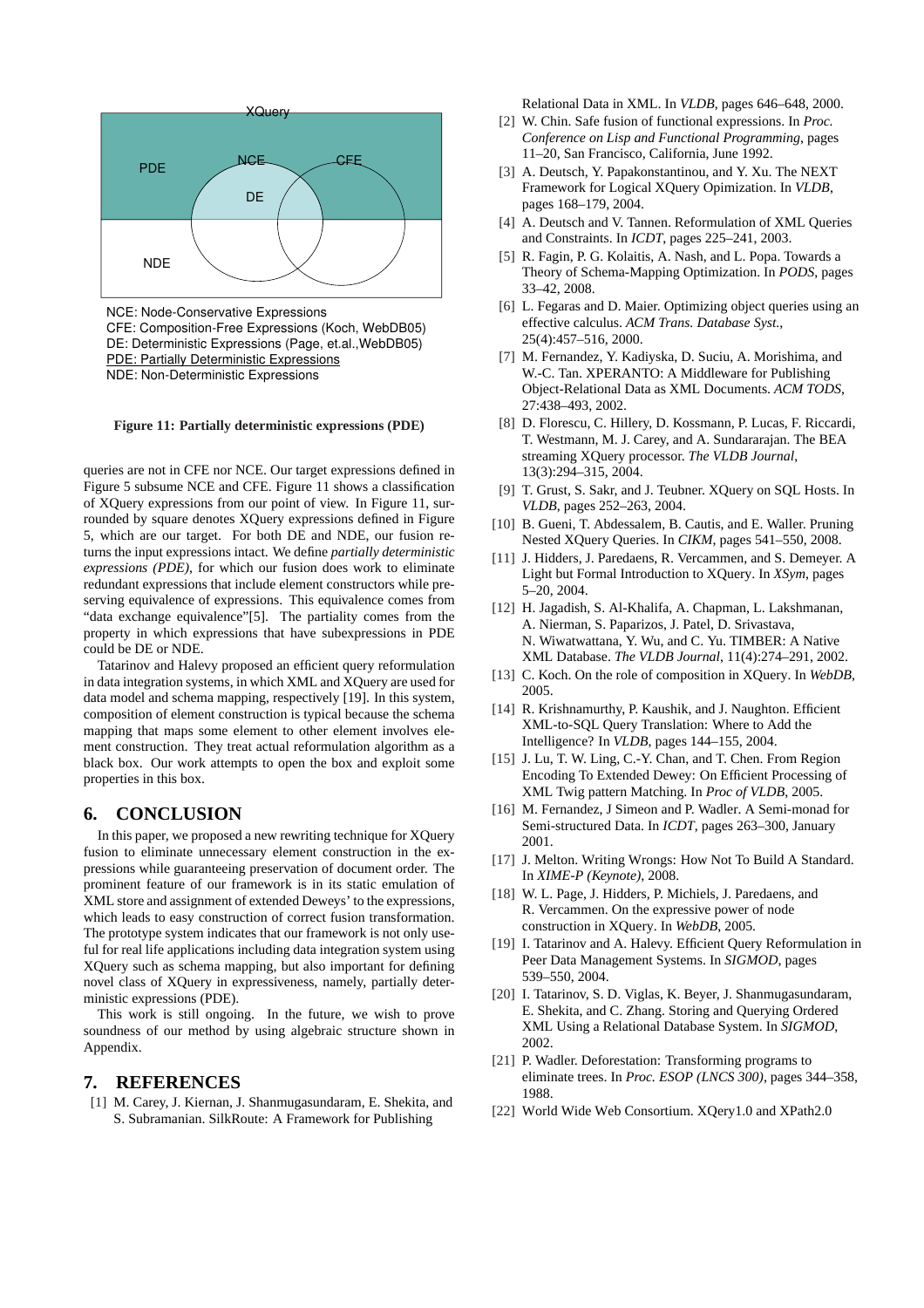

NCE: Node-Conservative Expressions CFE: Composition-Free Expressions (Koch, WebDB05) DE: Deterministic Expressions (Page, et.al.,WebDB05) PDE: Partially Deterministic Expressions NDE: Non-Deterministic Expressions

#### **Figure 11: Partially deterministic expressions (PDE)**

queries are not in CFE nor NCE. Our target expressions defined in Figure 5 subsume NCE and CFE. Figure 11 shows a classification of XQuery expressions from our point of view. In Figure 11, surrounded by square denotes XQuery expressions defined in Figure 5, which are our target. For both DE and NDE, our fusion returns the input expressions intact. We define *partially deterministic expressions (PDE)*, for which our fusion does work to eliminate redundant expressions that include element constructors while preserving equivalence of expressions. This equivalence comes from "data exchange equivalence"[5]. The partiality comes from the property in which expressions that have subexpressions in PDE could be DE or NDE.

Tatarinov and Halevy proposed an efficient query reformulation in data integration systems, in which XML and XQuery are used for data model and schema mapping, respectively [19]. In this system, composition of element construction is typical because the schema mapping that maps some element to other element involves element construction. They treat actual reformulation algorithm as a black box. Our work attempts to open the box and exploit some properties in this box.

# **6. CONCLUSION**

In this paper, we proposed a new rewriting technique for XQuery fusion to eliminate unnecessary element construction in the expressions while guaranteeing preservation of document order. The prominent feature of our framework is in its static emulation of XML store and assignment of extended Deweys' to the expressions, which leads to easy construction of correct fusion transformation. The prototype system indicates that our framework is not only useful for real life applications including data integration system using XQuery such as schema mapping, but also important for defining novel class of XQuery in expressiveness, namely, partially deterministic expressions (PDE).

This work is still ongoing. In the future, we wish to prove soundness of our method by using algebraic structure shown in Appendix.

# **7. REFERENCES**

[1] M. Carey, J. Kiernan, J. Shanmugasundaram, E. Shekita, and S. Subramanian. SilkRoute: A Framework for Publishing

Relational Data in XML. In *VLDB*, pages 646–648, 2000.

- [2] W. Chin. Safe fusion of functional expressions. In *Proc. Conference on Lisp and Functional Programming*, pages 11–20, San Francisco, California, June 1992.
- [3] A. Deutsch, Y. Papakonstantinou, and Y. Xu. The NEXT Framework for Logical XQuery Opimization. In *VLDB*, pages 168–179, 2004.
- [4] A. Deutsch and V. Tannen. Reformulation of XML Queries and Constraints. In *ICDT*, pages 225–241, 2003.
- [5] R. Fagin, P. G. Kolaitis, A. Nash, and L. Popa. Towards a Theory of Schema-Mapping Optimization. In *PODS*, pages 33–42, 2008.
- [6] L. Fegaras and D. Maier. Optimizing object queries using an effective calculus. *ACM Trans. Database Syst.*, 25(4):457–516, 2000.
- [7] M. Fernandez, Y. Kadiyska, D. Suciu, A. Morishima, and W.-C. Tan. XPERANTO: A Middleware for Publishing Object-Relational Data as XML Documents. *ACM TODS*, 27:438–493, 2002.
- [8] D. Florescu, C. Hillery, D. Kossmann, P. Lucas, F. Riccardi, T. Westmann, M. J. Carey, and A. Sundararajan. The BEA streaming XQuery processor. *The VLDB Journal*, 13(3):294–315, 2004.
- [9] T. Grust, S. Sakr, and J. Teubner. XQuery on SQL Hosts. In *VLDB*, pages 252–263, 2004.
- [10] B. Gueni, T. Abdessalem, B. Cautis, and E. Waller. Pruning Nested XQuery Queries. In *CIKM*, pages 541–550, 2008.
- [11] J. Hidders, J. Paredaens, R. Vercammen, and S. Demeyer. A Light but Formal Introduction to XQuery. In *XSym*, pages 5–20, 2004.
- [12] H. Jagadish, S. Al-Khalifa, A. Chapman, L. Lakshmanan, A. Nierman, S. Paparizos, J. Patel, D. Srivastava, N. Wiwatwattana, Y. Wu, and C. Yu. TIMBER: A Native XML Database. *The VLDB Journal*, 11(4):274–291, 2002.
- [13] C. Koch. On the role of composition in XQuery. In *WebDB*, 2005.
- [14] R. Krishnamurthy, P. Kaushik, and J. Naughton. Efficient XML-to-SQL Query Translation: Where to Add the Intelligence? In *VLDB*, pages 144–155, 2004.
- [15] J. Lu, T. W. Ling, C.-Y. Chan, and T. Chen. From Region Encoding To Extended Dewey: On Efficient Processing of XML Twig pattern Matching. In *Proc of VLDB*, 2005.
- [16] M. Fernandez, J Simeon and P. Wadler. A Semi-monad for Semi-structured Data. In *ICDT*, pages 263–300, January 2001.
- [17] J. Melton. Writing Wrongs: How Not To Build A Standard. In *XIME-P (Keynote)*, 2008.
- [18] W. L. Page, J. Hidders, P. Michiels, J. Paredaens, and R. Vercammen. On the expressive power of node construction in XQuery. In *WebDB*, 2005.
- [19] I. Tatarinov and A. Halevy. Efficient Query Reformulation in Peer Data Management Systems. In *SIGMOD*, pages 539–550, 2004.
- [20] I. Tatarinov, S. D. Viglas, K. Beyer, J. Shanmugasundaram, E. Shekita, and C. Zhang. Storing and Querying Ordered XML Using a Relational Database System. In *SIGMOD*, 2002.
- [21] P. Wadler. Deforestation: Transforming programs to eliminate trees. In *Proc. ESOP (LNCS 300)*, pages 344–358, 1988.
- [22] World Wide Web Consortium. XQery1.0 and XPath2.0